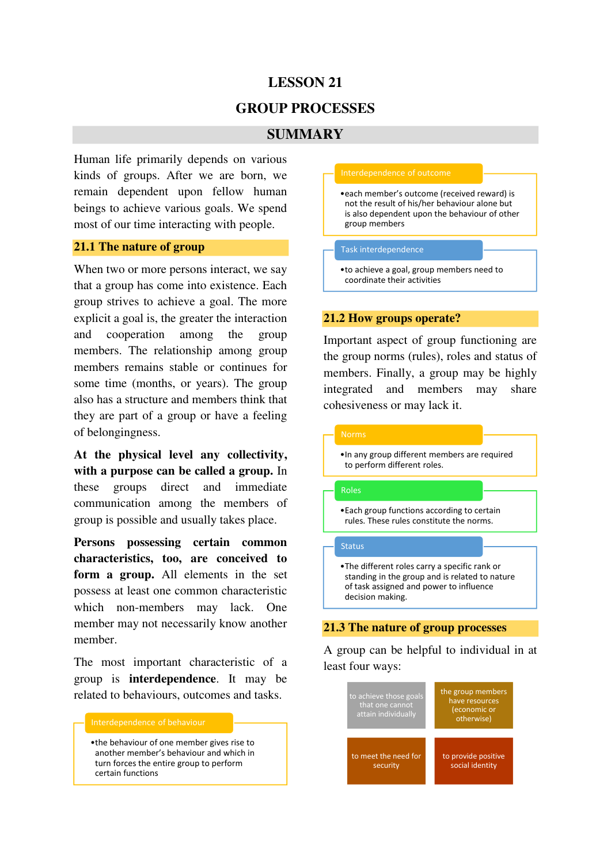# **LESSON 21**

# **GROUP PROCESSES**

# **SUMMARY**

Human life primarily depends on various kinds of groups. After we are born, we remain dependent upon fellow human beings to achieve various goals. We spend most of our time interacting with people.

### **21.1 The nature of group**

When two or more persons interact, we say that a group has come into existence. Each group strives to achieve a goal. The more explicit a goal is, the greater the interaction and cooperation among the group members. The relationship among group members remains stable or continues for some time (months, or years). The group also has a structure and members think that they are part of a group or have a feeling of belongingness.

**At the physical level any collectivity, with a purpose can be called a group.** In these groups direct and immediate communication among the members of group is possible and usually takes place.

**Persons possessing certain common characteristics, too, are conceived to form a group.** All elements in the set possess at least one common characteristic which non-members may lack. One member may not necessarily know another member.

The most important characteristic of a group is **interdependence**. It may be related to behaviours, outcomes and tasks.



•the behaviour of one member gives rise to another member's behaviour and which in turn forces the entire group to perform certain functions

### Interdependence of outcome

•each member's outcome (received reward) is not the result of his/her behaviour alone but is also dependent upon the behaviour of other group members

#### Task interdependence

•to achieve a goal, group members need to coordinate their activities

### **21.2 How groups operate?**

Important aspect of group functioning are the group norms (rules), roles and status of members. Finally, a group may be highly integrated and members may share cohesiveness or may lack it.



•In any group different members are required to perform different roles.

### Roles

•Each group functions according to certain rules. These rules constitute the norms.

### **Status**

•The different roles carry a specific rank or standing in the group and is related to nature of task assigned and power to influence decision making.

### **21.3 The nature of group processes**

A group can be helpful to individual in at least four ways: